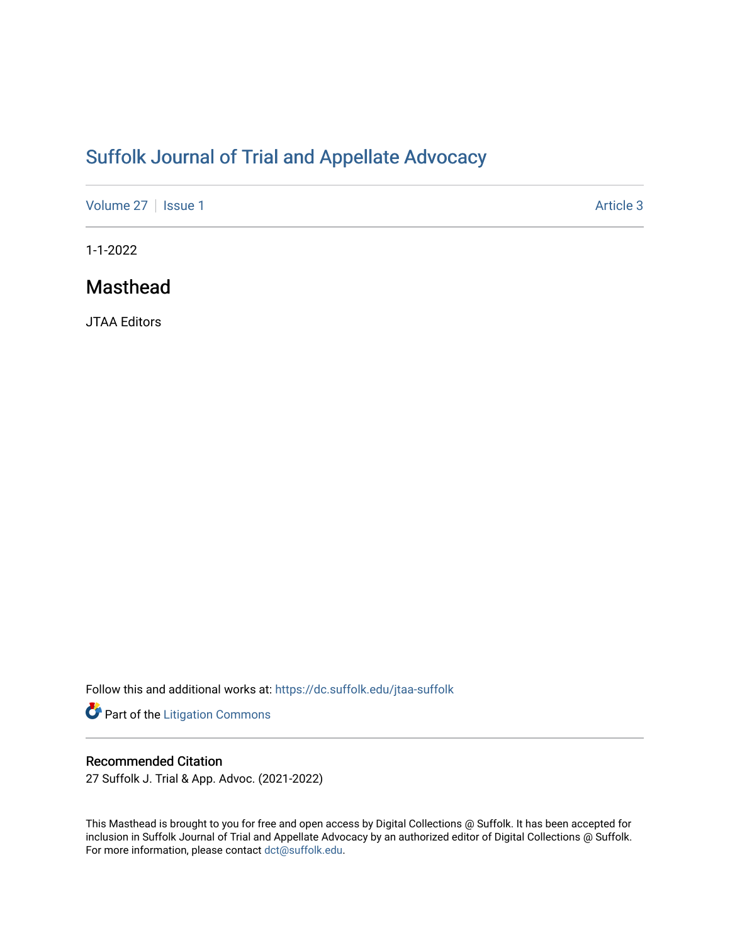# [Suffolk Journal of Trial and Appellate Advocacy](https://dc.suffolk.edu/jtaa-suffolk)

[Volume 27](https://dc.suffolk.edu/jtaa-suffolk/vol27) | [Issue 1](https://dc.suffolk.edu/jtaa-suffolk/vol27/iss1) Article 3

1-1-2022

## Masthead

JTAA Editors

Follow this and additional works at: [https://dc.suffolk.edu/jtaa-suffolk](https://dc.suffolk.edu/jtaa-suffolk?utm_source=dc.suffolk.edu%2Fjtaa-suffolk%2Fvol27%2Fiss1%2F3&utm_medium=PDF&utm_campaign=PDFCoverPages) 

Part of the [Litigation Commons](http://network.bepress.com/hgg/discipline/910?utm_source=dc.suffolk.edu%2Fjtaa-suffolk%2Fvol27%2Fiss1%2F3&utm_medium=PDF&utm_campaign=PDFCoverPages)

#### Recommended Citation

27 Suffolk J. Trial & App. Advoc. (2021-2022)

This Masthead is brought to you for free and open access by Digital Collections @ Suffolk. It has been accepted for inclusion in Suffolk Journal of Trial and Appellate Advocacy by an authorized editor of Digital Collections @ Suffolk. For more information, please contact [dct@suffolk.edu](mailto:dct@suffolk.edu).